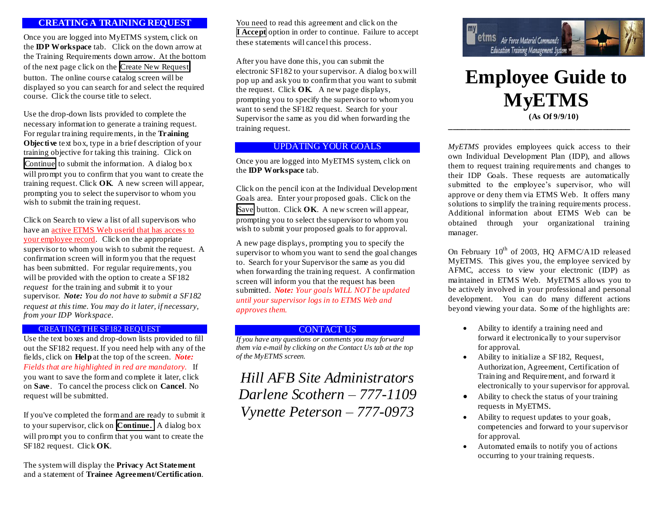## **CREATING A TRAINING REQUEST**

Once you are logged into MyETMS system, click on the **IDP Workspace** tab. Click on the down arrow at the Training Requirements down arrow. At the bottom of the next page click on the Create New Request button. The online course catalog screen will be displayed so you can search for and select the required course. Click the course title to select.

Use the drop-down lists provided to complete the necessary information to generate a training request. For regular training requirements, in the **Training Objective** text box, type in a brief description of your training objective for taking this training. Click on Continue to submit the information. A dialog box will prompt you to confirm that you want to create the training request. Click **OK**. A new screen will appear, prompting you to select the supervisor to whom you wish to submit the training request.

Click on Search to view a list of all supervisors who have an active ETMS Web userid that has access to your employee record. Click on the appropriate supervisor to whom you wish to submit the request. A confirmation screen will inform you that the request has been submitted. For regular requirements, you will be provided with the option to create a SF182 *request* for the training and submit it to your supervisor. *Note: You do not have to submit a SF182 request at this time. You may do it later, if necessary, from your IDP Workspace.*

#### CREATING THE SF182 REQUEST

Use the text boxes and drop-down lists provided to fill out the SF182 request. If you need help with any of the fields, click on **Help** at the top of the screen. *Note: Fields that are highlighted in red are mandatory.* If you want to save the form and complete it later, click on **Save**. To cancel the process click on **Cancel**. No request will be submitted.

If you've completed the form and are ready to submit it to your supervisor, click on **Continue.** A dialog box will prompt you to confirm that you want to create the SF182 request. Click **OK**.

The system will display the **Privacy Act Statement** and a statement of **Trainee Agreement/Certification**.

You need to read this agreement and click on the **I Accept** option in order to continue. Failure to accept these statements will cancel this process.

After you have done this, you can submit the electronic SF182 to your supervisor. A dialog box will pop up and ask you to confirm that you want to submit the request. Click **OK**. A new page displays, prompting you to specify the supervisor to whom you want to send the SF182 request. Search for your Supervisor the same as you did when forwarding the training request.

## UPDATING YOUR GOALS

Once you are logged into MyETMS system, click on the **IDP Workspace** tab.

Click on the pencil icon at the Individual Development Goals area. Enter your proposed goals. Click on the Save button. Click **OK**. A new screen will appear, prompting you to select the supervisor to whom you wish to submit your proposed goals to for approval.

A new page displays, prompting you to specify the supervisor to whom you want to send the goal changes to. Search for your Supervisor the same as you did when forwarding the training request. A confirmation screen will inform you that the request has been submitted. *Note: Your goals WILL NOT be updated until your supervisor logs in to ETMS Web and approves them.*

### CONTACT US

*If you have any questions or comments you may forward them via e-mail by clicking on the Contact Us tab at the top of the MyETMS screen.*

*Hill AFB Site Administrators Darlene Scothern – 777-1109 Vynette Peterson – 777-0973*



# **Employee Guide to MyETMS (As Of 9/9/10)**

*MyETMS* provides employees quick access to their own Individual Development Plan (IDP), and allows them to request training requirements and changes to their IDP Goals. These requests are automatically submitted to the employee's supervisor, who will approve or deny them via ETMS Web. It offers many solutions to simplify the training requirements process. Additional information about ETMS Web can be obtained through your organizational training manager.

**\_\_\_\_\_\_\_\_\_\_\_\_\_\_\_\_\_\_\_\_\_\_\_\_\_\_\_\_\_\_\_\_\_\_\_\_\_\_\_\_**

On February  $10^{th}$  of 2003, HQ AFMC/A1D released MyETMS. This gives you, the employee serviced by AFMC, access to view your electronic (IDP) as maintained in ETMS Web. MyETMS allows you to be actively involved in your professional and personal development. You can do many different actions beyond viewing your data. Some of the highlights are:

- Ability to identify a training need and forward it electronically to your supervisor for approval.
- Ability to initialize a SF182, Request, Authorization, Agreement, Certification of Training and Requirement, and forward it electronically to your supervisor for approval.
- Ability to check the status of your training requests in MyETMS.
- Ability to request updates to your goals, competencies and forward to your supervisor for approval.
- Automated emails to notify you of actions occurring to your training requests.